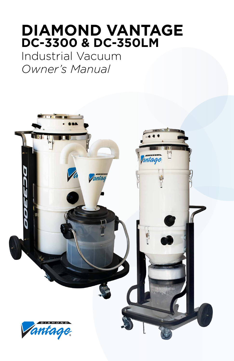# **DIAMOND VANTAGE DC-3300 & DC-350LM**

Industrial Vacuum *Owner's Manual*

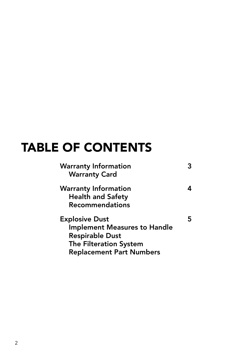# TABLE OF CONTENTS

| <b>Warranty Information</b><br><b>Warranty Card</b> |   |
|-----------------------------------------------------|---|
|                                                     |   |
| <b>Warranty Information</b>                         |   |
| <b>Health and Safety</b>                            |   |
| <b>Recommendations</b>                              |   |
| <b>Explosive Dust</b>                               | 5 |
| <b>Implement Measures to Handle</b>                 |   |
| <b>Respirable Dust</b>                              |   |
| The Filteration System                              |   |
| <b>Replacement Part Numbers</b>                     |   |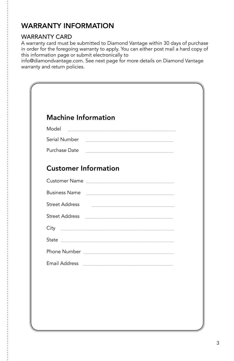### WARRANTY INFORMATION

#### WARRANTY CARD

A warranty card must be submitted to Diamond Vantage within 30 days of purchase in order for the foregoing warranty to apply. You can either post mail a hard copy of this information page or submit electronically to

info@diamondvantage.com. See next page for more details on Diamond Vantage warranty and return policies.

| <b>Machine Information</b>                                                                                     |  |
|----------------------------------------------------------------------------------------------------------------|--|
|                                                                                                                |  |
|                                                                                                                |  |
| Purchase Date                                                                                                  |  |
| <b>Customer Information</b>                                                                                    |  |
| Customer Name <b>Example 2018</b>                                                                              |  |
| Business Name                                                                                                  |  |
| <b>Street Address</b><br>the product of the control of the control of the control of the control of            |  |
|                                                                                                                |  |
| City <b>City City City City City City</b>                                                                      |  |
| State and the state of the state of the state of the state of the state of the state of the state of the state |  |
|                                                                                                                |  |
|                                                                                                                |  |
|                                                                                                                |  |
|                                                                                                                |  |
|                                                                                                                |  |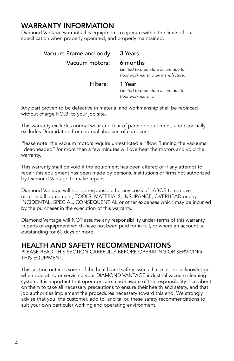#### WARRANTY INFORMATION

Diamond Vantage warrants this equipment to operate within the limits of our specification when properly operated, and properly maintained.

| Vacuum Frame and body: 3 Years |                                                                         |
|--------------------------------|-------------------------------------------------------------------------|
| Vacuum motors: 6 months        | Limited to premature failure due to<br>Poor workmanship by manufacture. |
| Filters:                       | 1 Year<br>Limited to premature failure due to<br>Poor workmanship       |

Any part proven to be defective in material and workmanship shall be replaced without charge F.O.B. to your job site.

This warranty excludes normal wear and tear of parts or equipment, and especially excludes Degradation from normal abrasion of corrosion.

Please note: the vacuum motors require unrestricted air flow. Running the vacuums "deadheaded" for more than a few minutes will overheat the motors and void the warranty.

This warranty shall be void if the equipment has been altered or if any attempt to repair this equipment has been made by persons, institutions or firms not authorized by Diamond Vantage to make repairs.

Diamond Vantage will not be responsible for any costs of LABOR to remove or re-install equipment, TOOLS, MATERIALS, INSURANCE, OVERHEAD or any INCIDENTAL, SPECIAL, CONSEQUENTIAL or other expenses which may be incurred by the purchaser in the execution of this warranty.

Diamond Vantage will NOT assume any responsibility under terms of this warranty in parts or equipment which have not been paid for in full, or where an account is outstanding for 60 days or more.

#### HEALTH AND SAFETY RECOMMENDATIONS

PLEASE READ THIS SECTION CAREFULLY BEFORE OPERATING OR SERVICING THIS EQUIPMENT.

This section outlines some of the health and safety issues that must be acknowledged when operating or servicing your DIAMOND VANTAGE industrial vacuum cleaning system. It is important that operators are made aware of the responsibility incumbent on them to take all necessary precautions to ensure their health and safety, and that job authorities implement the procedures necessary toward this end. We strongly advise that you, the customer, add to, and tailor, these safety recommendations to suit your own particular working and operating environment.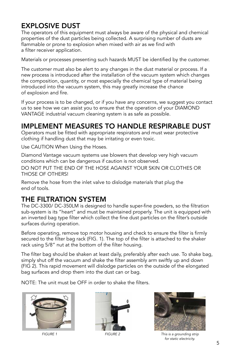### EXPLOSIVE DUST

The operators of this equipment must always be aware of the physical and chemical properties of the dust particles being collected. A surprising number of dusts are flammable or prone to explosion when mixed with air as we find with a filter receiver application.

Materials or processes presenting such hazards MUST be identified by the customer.

The customer must also be alert to any changes in the dust material or process. If a new process is introduced after the installation of the vacuum system which changes the composition, quantity, or most especially the chemical type of material being introduced into the vacuum system, this may greatly increase the chance of explosion and fire.

If your process is to be changed, or if you have any concerns, we suggest you contact us to see how we can assist you to ensure that the operation of your DIAMOND VANTAGE industrial vacuum cleaning system is as safe as possible.

#### IMPLEMENT MEASURES TO HANDLE RESPIRABLE DUST

Operators must be fitted with appropriate respirators and must wear protective clothing if handling dust that may be irritating or even toxic.

Use CAUTION When Using the Hoses.

Diamond Vantage vacuum systems use blowers that develop very high vacuum conditions which can be dangerous if caution is not observed.

DO NOT PUT THE END OF THE HOSE AGAINST YOUR SKIN OR CLOTHES OR THOSE OF OTHERS!

Remove the hose from the inlet valve to dislodge materials that plug the end of tools.

#### THE FILTRATION SYSTEM

The DC-3300/ DC-350LM is designed to handle super-fine powders, so the filtration sub-system is its "heart" and must be maintained properly. The unit is equipped with an inverted bag type filter which collect the fine dust particles on the filter's outside surfaces during operation.

Before operating, remove top motor housing and check to ensure the filter is firmly secured to the filter bag rack (FIG. 1). The top of the filter is attached to the shaker rack using 5/8" nut at the bottom of the filter housing.

The filter bag should be shaken at least daily, preferably after each use. To shake bag, simply shut off the vacuum and shake the filter assembly arm swiftly up and down (FIG 2). This rapid movement will dislodge particles on the outside of the elongated bag surfaces and drop them into the dust can or bag.

NOTE: The unit must be OFF in order to shake the filters.







*FIGURE 1 FIGURE 2 This is a grounding strip for static electricity.*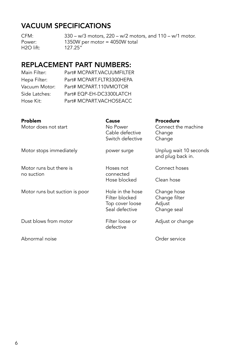#### VACUUM SPECIFICATIONS

CFM: 330 – w/3 motors, 220 – w/2 motors, and 110 – w/1 motor. Power: 1350W per motor = 4050W total<br>
H2O lift: 127.25" H<sub>2O</sub> lift:

### REPLACEMENT PART NUMBERS:

| Main Filter:  | Part# MCPART.VACUUMFILTER |
|---------------|---------------------------|
| Hepa Filter:  | Part# MCPART.FLTR3300HEPA |
| Vacuum Motor: | Part# MCPART.110VMOTOR    |
| Side Latches: | Part# EQP-EH-DC3300LATCH  |
| Hose Kit:     | Part# MCPART.VACHOSEACC   |
|               |                           |

| Problem<br>Motor does not start | Cause<br>No Power<br>Cable defective<br>Switch defective                | <b>Procedure</b><br>Connect the machine<br>Change<br>Change |
|---------------------------------|-------------------------------------------------------------------------|-------------------------------------------------------------|
| Motor stops immediately         | power surge                                                             | Unplug wait 10 seconds<br>and plug back in.                 |
| Motor runs but there is         | Hoses not<br>connected<br>Hose blocked                                  | Connect hoses                                               |
| no suction                      |                                                                         | Clean hose                                                  |
| Motor runs but suction is poor  | Hole in the hose<br>Filter blocked<br>Top cover loose<br>Seal defective | Change hose<br>Change filter<br>Adjust<br>Change seal       |
| Dust blows from motor           | Filter loose or<br>defective                                            | Adjust or change                                            |
| Abnormal noise                  |                                                                         | Order service                                               |